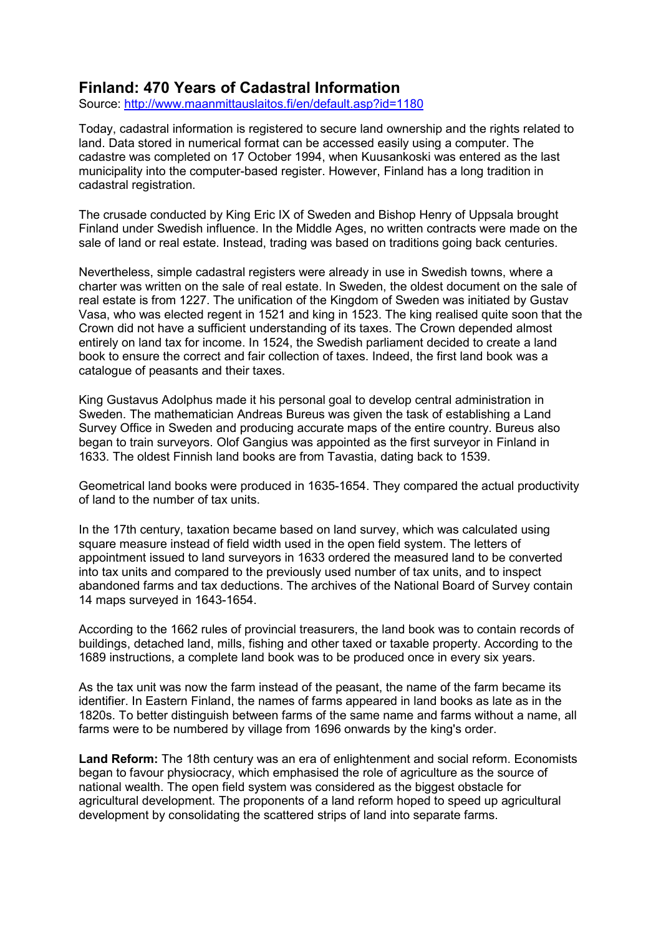## **Finland: 470 Years of Cadastral Information**

Source: http://www.maanmittauslaitos.fi/en/default.asp?id=1180

Today, cadastral information is registered to secure land ownership and the rights related to land. Data stored in numerical format can be accessed easily using a computer. The cadastre was completed on 17 October 1994, when Kuusankoski was entered as the last municipality into the computer-based register. However, Finland has a long tradition in cadastral registration.

The crusade conducted by King Eric IX of Sweden and Bishop Henry of Uppsala brought Finland under Swedish influence. In the Middle Ages, no written contracts were made on the sale of land or real estate. Instead, trading was based on traditions going back centuries.

Nevertheless, simple cadastral registers were already in use in Swedish towns, where a charter was written on the sale of real estate. In Sweden, the oldest document on the sale of real estate is from 1227. The unification of the Kingdom of Sweden was initiated by Gustav Vasa, who was elected regent in 1521 and king in 1523. The king realised quite soon that the Crown did not have a sufficient understanding of its taxes. The Crown depended almost entirely on land tax for income. In 1524, the Swedish parliament decided to create a land book to ensure the correct and fair collection of taxes. Indeed, the first land book was a catalogue of peasants and their taxes.

King Gustavus Adolphus made it his personal goal to develop central administration in Sweden. The mathematician Andreas Bureus was given the task of establishing a Land Survey Office in Sweden and producing accurate maps of the entire country. Bureus also began to train surveyors. Olof Gangius was appointed as the first surveyor in Finland in 1633. The oldest Finnish land books are from Tavastia, dating back to 1539.

Geometrical land books were produced in 1635-1654. They compared the actual productivity of land to the number of tax units.

In the 17th century, taxation became based on land survey, which was calculated using square measure instead of field width used in the open field system. The letters of appointment issued to land surveyors in 1633 ordered the measured land to be converted into tax units and compared to the previously used number of tax units, and to inspect abandoned farms and tax deductions. The archives of the National Board of Survey contain 14 maps surveyed in 1643-1654.

According to the 1662 rules of provincial treasurers, the land book was to contain records of buildings, detached land, mills, fishing and other taxed or taxable property. According to the 1689 instructions, a complete land book was to be produced once in every six years.

As the tax unit was now the farm instead of the peasant, the name of the farm became its identifier. In Eastern Finland, the names of farms appeared in land books as late as in the 1820s. To better distinguish between farms of the same name and farms without a name, all farms were to be numbered by village from 1696 onwards by the king's order.

**Land Reform:** The 18th century was an era of enlightenment and social reform. Economists began to favour physiocracy, which emphasised the role of agriculture as the source of national wealth. The open field system was considered as the biggest obstacle for agricultural development. The proponents of a land reform hoped to speed up agricultural development by consolidating the scattered strips of land into separate farms.